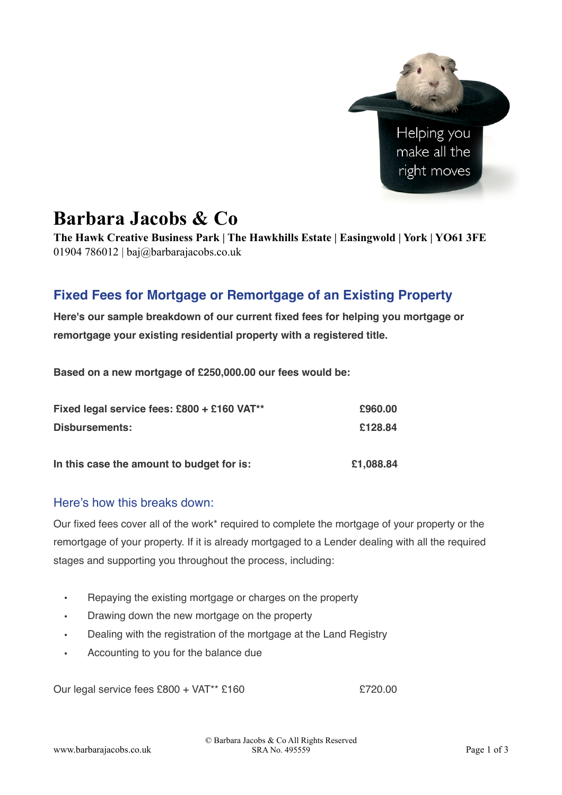

# **Barbara Jacobs & Co**

**The Hawk Creative Business Park | The Hawkhills Estate | Easingwold | York | YO61 3FE**  01904 786012 | baj $\omega$ barbarajacobs.co.uk

# **Fixed Fees for Mortgage or Remortgage of an Existing Property**

**Here's our sample breakdown of our current fixed fees for helping you mortgage or remortgage your existing residential property with a registered title.** 

**Based on a new mortgage of £250,000.00 our fees would be:**

| Fixed legal service fees: £800 + £160 VAT** | £960.00   |
|---------------------------------------------|-----------|
| Disbursements:                              | £128.84   |
| In this case the amount to budget for is:   | £1,088.84 |

### Here's how this breaks down:

Our fixed fees cover all of the work\* required to complete the mortgage of your property or the remortgage of your property. If it is already mortgaged to a Lender dealing with all the required stages and supporting you throughout the process, including:

- Repaying the existing mortgage or charges on the property
- Drawing down the new mortgage on the property
- Dealing with the registration of the mortgage at the Land Registry
- Accounting to you for the balance due

Our legal service fees £800 + VAT<sup>\*\*</sup> £160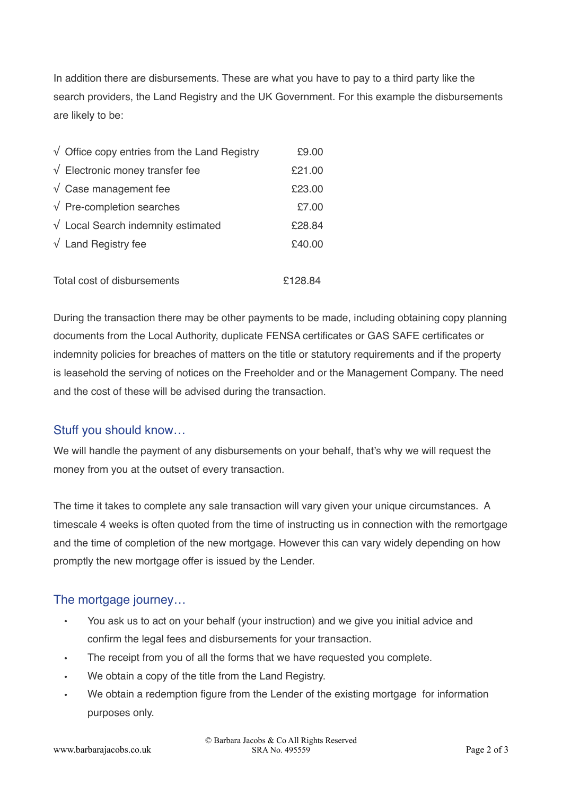In addition there are disbursements. These are what you have to pay to a third party like the search providers, the Land Registry and the UK Government. For this example the disbursements are likely to be:

| $\sqrt{\phantom{a}}$ Office copy entries from the Land Registry | £9.00   |
|-----------------------------------------------------------------|---------|
| $\sqrt{\phantom{a}}$ Electronic money transfer fee              | £21.00  |
| $\sqrt{\phantom{a}}$ Case management fee                        | £23.00  |
| $\sqrt{P}$ Pre-completion searches                              | £7.00   |
| $\sqrt{}$ Local Search indemnity estimated                      | £28.84  |
| $\sqrt{\phantom{a}}$ Land Registry fee                          | £40.00  |
|                                                                 |         |
| Total cost of disbursements                                     | £128.84 |

During the transaction there may be other payments to be made, including obtaining copy planning documents from the Local Authority, duplicate FENSA certificates or GAS SAFE certificates or indemnity policies for breaches of matters on the title or statutory requirements and if the property is leasehold the serving of notices on the Freeholder and or the Management Company. The need and the cost of these will be advised during the transaction.

### Stuff you should know…

We will handle the payment of any disbursements on your behalf, that's why we will request the money from you at the outset of every transaction.

The time it takes to complete any sale transaction will vary given your unique circumstances. A timescale 4 weeks is often quoted from the time of instructing us in connection with the remortgage and the time of completion of the new mortgage. However this can vary widely depending on how promptly the new mortgage offer is issued by the Lender.

## The mortgage journey…

- You ask us to act on your behalf (your instruction) and we give you initial advice and confirm the legal fees and disbursements for your transaction.
- The receipt from you of all the forms that we have requested you complete.
- We obtain a copy of the title from the Land Registry.
- We obtain a redemption figure from the Lender of the existing mortgage for information purposes only.